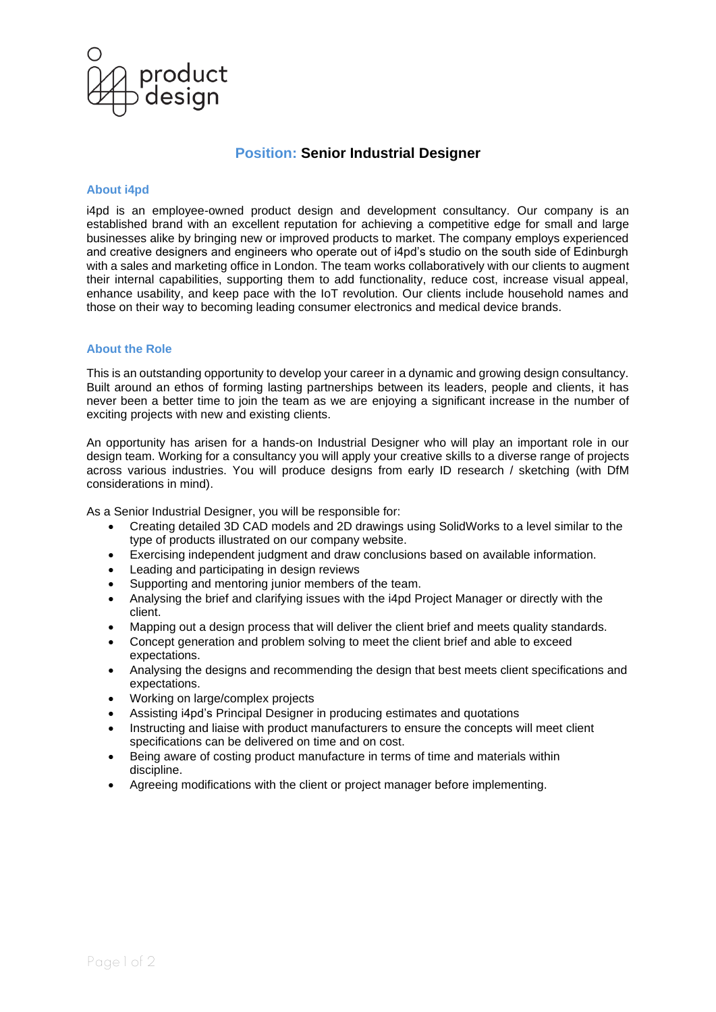

# **Position: Senior Industrial Designer**

## **About i4pd**

i4pd is an employee-owned product design and development consultancy. Our company is an established brand with an excellent reputation for achieving a competitive edge for small and large businesses alike by bringing new or improved products to market. The company employs experienced and creative designers and engineers who operate out of i4pd's studio on the south side of Edinburgh with a sales and marketing office in London. The team works collaboratively with our clients to augment their internal capabilities, supporting them to add functionality, reduce cost, increase visual appeal, enhance usability, and keep pace with the IoT revolution. Our clients include household names and those on their way to becoming leading consumer electronics and medical device brands.

# **About the Role**

This is an outstanding opportunity to develop your career in a dynamic and growing design consultancy. Built around an ethos of forming lasting partnerships between its leaders, people and clients, it has never been a better time to join the team as we are enjoying a significant increase in the number of exciting projects with new and existing clients.

An opportunity has arisen for a hands-on Industrial Designer who will play an important role in our design team. Working for a consultancy you will apply your creative skills to a diverse range of projects across various industries. You will produce designs from early ID research / sketching (with DfM considerations in mind).

As a Senior Industrial Designer, you will be responsible for:

- Creating detailed 3D CAD models and 2D drawings using SolidWorks to a level similar to the type of products illustrated on our company website.
- Exercising independent judgment and draw conclusions based on available information.
- Leading and participating in design reviews
- Supporting and mentoring junior members of the team.
- Analysing the brief and clarifying issues with the i4pd Project Manager or directly with the client.
- Mapping out a design process that will deliver the client brief and meets quality standards.
- Concept generation and problem solving to meet the client brief and able to exceed expectations.
- Analysing the designs and recommending the design that best meets client specifications and expectations.
- Working on large/complex projects
- Assisting i4pd's Principal Designer in producing estimates and quotations
- Instructing and liaise with product manufacturers to ensure the concepts will meet client specifications can be delivered on time and on cost.
- Being aware of costing product manufacture in terms of time and materials within discipline.
- Agreeing modifications with the client or project manager before implementing.